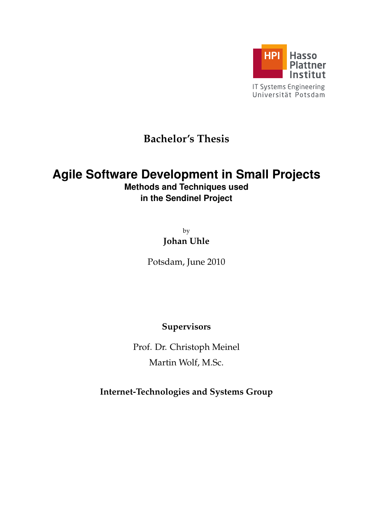

# **Bachelor's Thesis**

# **Agile Software Development in Small Projects**

**Methods and Techniques used in the Sendinel Project**

> by **Johan Uhle**

Potsdam, June 2010

**Supervisors**

Prof. Dr. Christoph Meinel Martin Wolf, M.Sc.

**Internet-Technologies and Systems Group**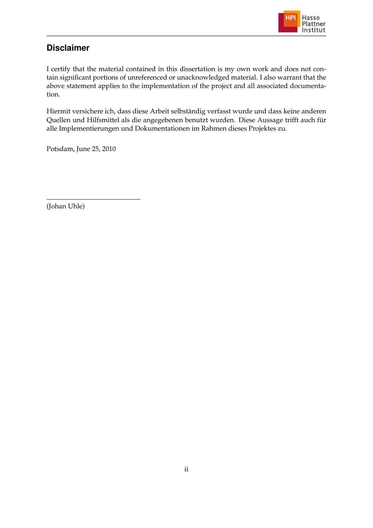

## **Disclaimer**

I certify that the material contained in this dissertation is my own work and does not contain significant portions of unreferenced or unacknowledged material. I also warrant that the above statement applies to the implementation of the project and all associated documentation.

Hiermit versichere ich, dass diese Arbeit selbständig verfasst wurde und dass keine anderen Quellen und Hilfsmittel als die angegebenen benutzt wurden. Diese Aussage trifft auch für alle Implementierungen und Dokumentationen im Rahmen dieses Projektes zu.

Potsdam, June 25, 2010

(Johan Uhle)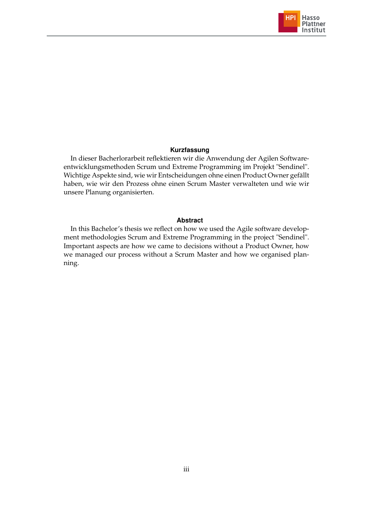

#### **Kurzfassung**

In dieser Bacherlorarbeit reflektieren wir die Anwendung der Agilen Softwareentwicklungsmethoden Scrum und Extreme Programming im Projekt "Sendinel". Wichtige Aspekte sind, wie wir Entscheidungen ohne einen Product Owner gefällt haben, wie wir den Prozess ohne einen Scrum Master verwalteten und wie wir unsere Planung organisierten.

#### **Abstract**

In this Bachelor's thesis we reflect on how we used the Agile software development methodologies Scrum and Extreme Programming in the project "Sendinel". Important aspects are how we came to decisions without a Product Owner, how we managed our process without a Scrum Master and how we organised planning.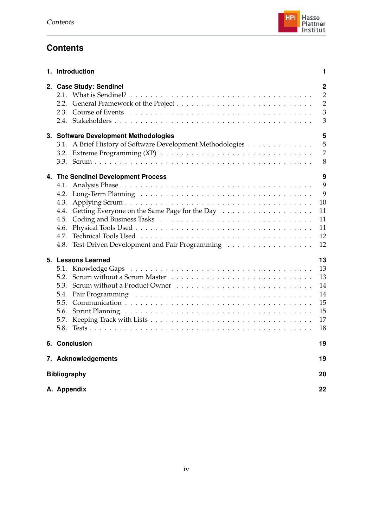## **Contents**

| 1. Introduction                                                                                                                             | 1                                                            |
|---------------------------------------------------------------------------------------------------------------------------------------------|--------------------------------------------------------------|
| 2. Case Study: Sendinel                                                                                                                     | $\overline{2}$<br>$\overline{2}$<br>$\overline{2}$<br>3<br>3 |
| 3. Software Development Methodologies<br>3.1. A Brief History of Software Development Methodologies<br>3.2.                                 | 5<br>5<br>7<br>8                                             |
| 4. The Sendinel Development Process<br>4.2.<br>4.3.<br>4.4.<br>4.5.<br>4.6.<br>4.7.<br>Test-Driven Development and Pair Programming<br>4.8. | 9<br>9<br>9<br>10<br>11<br>11<br>11<br>12<br>12              |
| 5. Lessons Learned<br>5.3.<br>5.4.<br>5.6.<br>5.8.                                                                                          | 13<br>13<br>13<br>14<br>14<br>15<br>15<br>17<br>18           |
| 6. Conclusion                                                                                                                               | 19                                                           |
| 7. Acknowledgements                                                                                                                         | 19                                                           |
| <b>Bibliography</b>                                                                                                                         | 20                                                           |
| A. Appendix                                                                                                                                 | 22                                                           |

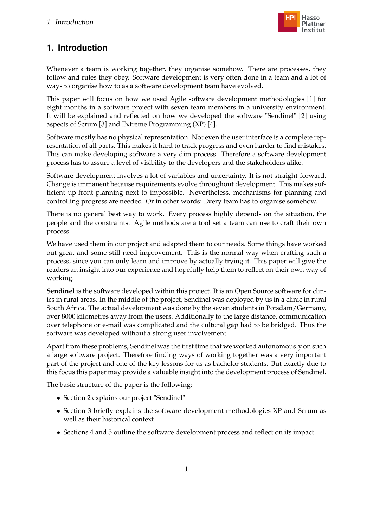

## <span id="page-4-0"></span>**1. Introduction**

Whenever a team is working together, they organise somehow. There are processes, they follow and rules they obey. Software development is very often done in a team and a lot of ways to organise how to as a software development team have evolved.

This paper will focus on how we used Agile software development methodologies [\[1\]](#page-23-0) for eight months in a software project with seven team members in a university environment. It will be explained and reflected on how we developed the software "Sendinel" [\[2\]](#page-23-1) using aspects of Scrum [\[3\]](#page-23-2) and Extreme Programming (XP) [\[4\]](#page-23-3).

Software mostly has no physical representation. Not even the user interface is a complete representation of all parts. This makes it hard to track progress and even harder to find mistakes. This can make developing software a very dim process. Therefore a software development process has to assure a level of visibility to the developers and the stakeholders alike.

Software development involves a lot of variables and uncertainty. It is not straight-forward. Change is immanent because requirements evolve throughout development. This makes sufficient up-front planning next to impossible. Nevertheless, mechanisms for planning and controlling progress are needed. Or in other words: Every team has to organise somehow.

There is no general best way to work. Every process highly depends on the situation, the people and the constraints. Agile methods are a tool set a team can use to craft their own process.

We have used them in our project and adapted them to our needs. Some things have worked out great and some still need improvement. This is the normal way when crafting such a process, since you can only learn and improve by actually trying it. This paper will give the readers an insight into our experience and hopefully help them to reflect on their own way of working.

**Sendinel** is the software developed within this project. It is an Open Source software for clinics in rural areas. In the middle of the project, Sendinel was deployed by us in a clinic in rural South Africa. The actual development was done by the seven students in Potsdam/Germany, over 8000 kilometres away from the users. Additionally to the large distance, communication over telephone or e-mail was complicated and the cultural gap had to be bridged. Thus the software was developed without a strong user involvement.

Apart from these problems, Sendinel was the first time that we worked autonomously on such a large software project. Therefore finding ways of working together was a very important part of the project and one of the key lessons for us as bachelor students. But exactly due to this focus this paper may provide a valuable insight into the development process of Sendinel.

The basic structure of the paper is the following:

- Section 2 explains our project "Sendinel"
- Section 3 briefly explains the software development methodologies XP and Scrum as well as their historical context
- Sections 4 and 5 outline the software development process and reflect on its impact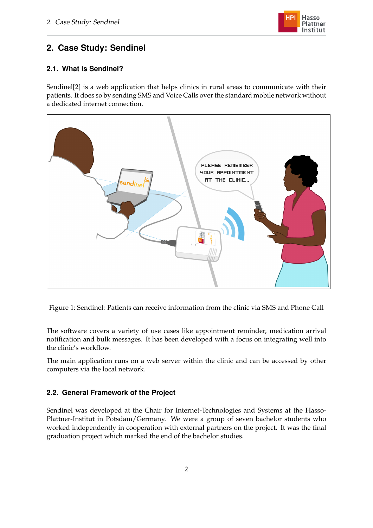

## <span id="page-5-0"></span>**2. Case Study: Sendinel**

## <span id="page-5-1"></span>**2.1. What is Sendinel?**

Sendinel[\[2\]](#page-23-1) is a web application that helps clinics in rural areas to communicate with their patients. It does so by sending SMS and Voice Calls over the standard mobile network without a dedicated internet connection.



Figure 1: Sendinel: Patients can receive information from the clinic via SMS and Phone Call

The software covers a variety of use cases like appointment reminder, medication arrival notification and bulk messages. It has been developed with a focus on integrating well into the clinic's workflow.

The main application runs on a web server within the clinic and can be accessed by other computers via the local network.

## <span id="page-5-2"></span>**2.2. General Framework of the Project**

Sendinel was developed at the Chair for Internet-Technologies and Systems at the Hasso-Plattner-Institut in Potsdam/Germany. We were a group of seven bachelor students who worked independently in cooperation with external partners on the project. It was the final graduation project which marked the end of the bachelor studies.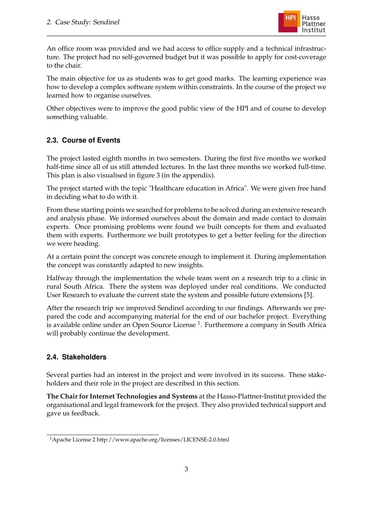

An office room was provided and we had access to office supply and a technical infrastructure. The project had no self-governed budget but it was possible to apply for cost-coverage to the chair.

The main objective for us as students was to get good marks. The learning experience was how to develop a complex software system within constraints. In the course of the project we learned how to organise ourselves.

Other objectives were to improve the good public view of the HPI and of course to develop something valuable.

## <span id="page-6-0"></span>**2.3. Course of Events**

The project lasted eighth months in two semesters. During the first five months we worked half-time since all of us still attended lectures. In the last three months we worked full-time. This plan is also visualised in figure [3](#page-25-1) (in the appendix).

The project started with the topic "Healthcare education in Africa". We were given free hand in deciding what to do with it.

From these starting points we searched for problems to be solved during an extensive research and analysis phase. We informed ourselves about the domain and made contact to domain experts. Once promising problems were found we built concepts for them and evaluated them with experts. Furthermore we built prototypes to get a better feeling for the direction we were heading.

At a certain point the concept was concrete enough to implement it. During implementation the concept was constantly adapted to new insights.

Halfway through the implementation the whole team went on a research trip to a clinic in rural South Africa. There the system was deployed under real conditions. We conducted User Research to evaluate the current state the system and possible future extensions [\[5\]](#page-23-4).

After the research trip we improved Sendinel according to our findings. Afterwards we prepared the code and accompanying material for the end of our bachelor project. Everything is available online under an Open Source License  $^1$ . Furthermore a company in South Africa will probably continue the development.

### <span id="page-6-1"></span>**2.4. Stakeholders**

Several parties had an interest in the project and were involved in its success. These stakeholders and their role in the project are described in this section.

**The Chair for Internet Technologies and Systems** at the Hasso-Plattner-Institut provided the organisational and legal framework for the project. They also provided technical support and gave us feedback.

<sup>1</sup>Apache License 2 http://www.apache.org/licenses/LICENSE-2.0.html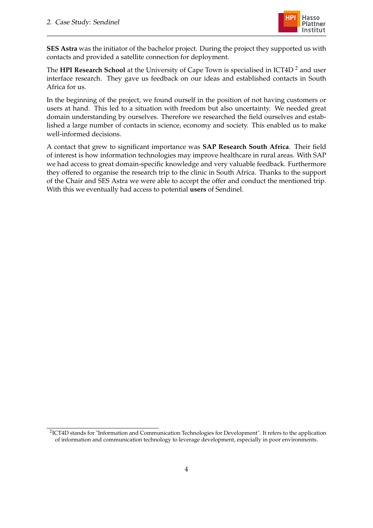

**SES Astra** was the initiator of the bachelor project. During the project they supported us with contacts and provided a satellite connection for deployment.

The **HPI Research School** at the University of Cape Town is specialised in ICT4D<sup>2</sup> and user interface research. They gave us feedback on our ideas and established contacts in South Africa for us.

In the beginning of the project, we found ourself in the position of not having customers or users at hand. This led to a situation with freedom but also uncertainty. We needed great domain understanding by ourselves. Therefore we researched the field ourselves and established a large number of contacts in science, economy and society. This enabled us to make well-informed decisions.

A contact that grew to significant importance was **SAP Research South Africa**. Their field of interest is how information technologies may improve healthcare in rural areas. With SAP we had access to great domain-specific knowledge and very valuable feedback. Furthermore they offered to organise the research trip to the clinic in South Africa. Thanks to the support of the Chair and SES Astra we were able to accept the offer and conduct the mentioned trip. With this we eventually had access to potential **users** of Sendinel.

 $2$ ICT4D stands for "Information and Communication Technologies for Development". It refers to the application of information and communication technology to leverage development, especially in poor environments.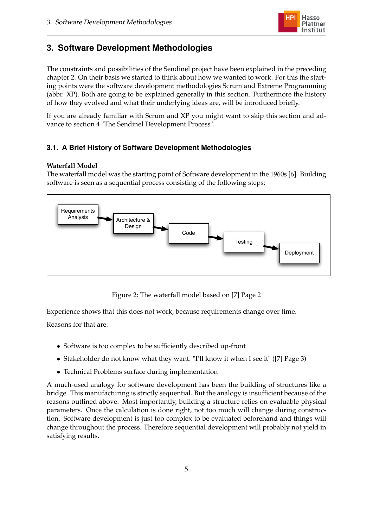

## <span id="page-8-0"></span>**3. Software Development Methodologies**

The constraints and possibilities of the Sendinel project have been explained in the preceding chapter [2.](#page-5-0) On their basis we started to think about how we wanted to work. For this the starting points were the software development methodologies Scrum and Extreme Programming (abbr. XP). Both are going to be explained generally in this section. Furthermore the history of how they evolved and what their underlying ideas are, will be introduced briefly.

If you are already familiar with Scrum and XP you might want to skip this section and advance to section [4](#page-12-0) "The Sendinel Development Process".

## <span id="page-8-1"></span>**3.1. A Brief History of Software Development Methodologies**

#### **Waterfall Model**

The waterfall model was the starting point of Software development in the 1960s [\[6\]](#page-23-5). Building software is seen as a sequential process consisting of the following steps:



Figure 2: The waterfall model based on [\[7\]](#page-23-6) Page 2

Experience shows that this does not work, because requirements change over time.

Reasons for that are:

- Software is too complex to be sufficiently described up-front
- Stakeholder do not know what they want. "I'll know it when I see it" ([\[7\]](#page-23-6) Page 3)
- Technical Problems surface during implementation

A much-used analogy for software development has been the building of structures like a bridge. This manufacturing is strictly sequential. But the analogy is insufficient because of the reasons outlined above. Most importantly, building a structure relies on evaluable physical parameters. Once the calculation is done right, not too much will change during construction. Software development is just too complex to be evaluated beforehand and things will change throughout the process. Therefore sequential development will probably not yield in satisfying results.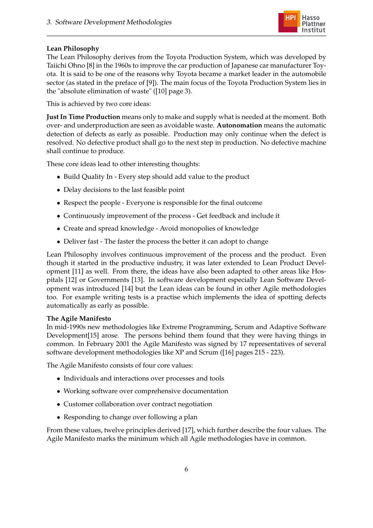

## **Lean Philosophy**

The Lean Philosophy derives from the Toyota Production System, which was developed by Taiichi Ohno [\[8\]](#page-23-7) in the 1960s to improve the car production of Japanese car manufacturer Toyota. It is said to be one of the reasons why Toyota became a market leader in the automobile sector (as stated in the preface of [\[9\]](#page-23-8)). The main focus of the Toyota Production System lies in the "absolute elimination of waste" ([\[10\]](#page-23-9) page 3).

This is achieved by two core ideas:

**Just In Time Production** means only to make and supply what is needed at the moment. Both over- and underproduction are seen as avoidable waste. **Autonomation** means the automatic detection of defects as early as possible. Production may only continue when the defect is resolved. No defective product shall go to the next step in production. No defective machine shall continue to produce.

These core ideas lead to other interesting thoughts:

- Build Quality In Every step should add value to the product
- Delay decisions to the last feasible point
- Respect the people Everyone is responsible for the final outcome
- Continuously improvement of the process Get feedback and include it
- Create and spread knowledge Avoid monopolies of knowledge
- Deliver fast The faster the process the better it can adopt to change

Lean Philosophy involves continuous improvement of the process and the product. Even though it started in the productive industry, it was later extended to Lean Product Development [\[11\]](#page-23-10) as well. From there, the ideas have also been adapted to other areas like Hospitals [\[12\]](#page-23-11) or Governments [\[13\]](#page-23-12). In software development especially Lean Software Development was introduced [\[14\]](#page-23-13) but the Lean ideas can be found in other Agile methodologies too. For example writing tests is a practise which implements the idea of spotting defects automatically as early as possible.

### **The Agile Manifesto**

In mid-1990s new methodologies like Extreme Programming, Scrum and Adaptive Software Development[\[15\]](#page-23-14) arose. The persons behind them found that they were having things in common. In February 2001 the Agile Manifesto was signed by 17 representatives of several software development methodologies like XP and Scrum ([\[16\]](#page-23-15) pages 215 - 223).

The Agile Manifesto consists of four core values:

- Individuals and interactions over processes and tools
- Working software over comprehensive documentation
- Customer collaboration over contract negotiation
- Responding to change over following a plan

From these values, twelve principles derived [\[17\]](#page-23-16), which further describe the four values. The Agile Manifesto marks the minimum which all Agile methodologies have in common.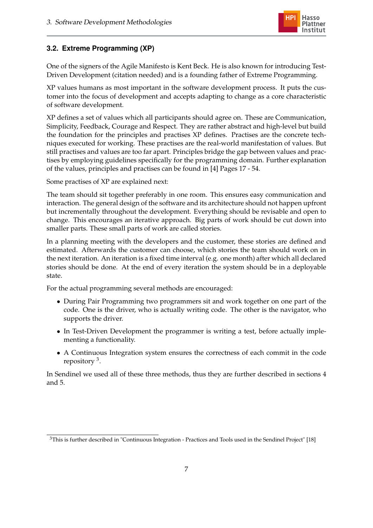

## <span id="page-10-0"></span>**3.2. Extreme Programming (XP)**

One of the signers of the Agile Manifesto is Kent Beck. He is also known for introducing Test-Driven Development (citation needed) and is a founding father of Extreme Programming.

XP values humans as most important in the software development process. It puts the customer into the focus of development and accepts adapting to change as a core characteristic of software development.

XP defines a set of values which all participants should agree on. These are Communication, Simplicity, Feedback, Courage and Respect. They are rather abstract and high-level but build the foundation for the principles and practises XP defines. Practises are the concrete techniques executed for working. These practises are the real-world manifestation of values. But still practises and values are too far apart. Principles bridge the gap between values and practises by employing guidelines specifically for the programming domain. Further explanation of the values, principles and practises can be found in [\[4\]](#page-23-3) Pages 17 - 54.

Some practises of XP are explained next:

The team should sit together preferably in one room. This ensures easy communication and interaction. The general design of the software and its architecture should not happen upfront but incrementally throughout the development. Everything should be revisable and open to change. This encourages an iterative approach. Big parts of work should be cut down into smaller parts. These small parts of work are called stories.

In a planning meeting with the developers and the customer, these stories are defined and estimated. Afterwards the customer can choose, which stories the team should work on in the next iteration. An iteration is a fixed time interval (e.g. one month) after which all declared stories should be done. At the end of every iteration the system should be in a deployable state.

For the actual programming several methods are encouraged:

- During Pair Programming two programmers sit and work together on one part of the code. One is the driver, who is actually writing code. The other is the navigator, who supports the driver.
- In Test-Driven Development the programmer is writing a test, before actually implementing a functionality.
- A Continuous Integration system ensures the correctness of each commit in the code repository <sup>3</sup> .

In Sendinel we used all of these three methods, thus they are further described in sections 4 and 5.

<sup>3</sup>This is further described in "Continuous Integration - Practices and Tools used in the Sendinel Project" [\[18\]](#page-23-17)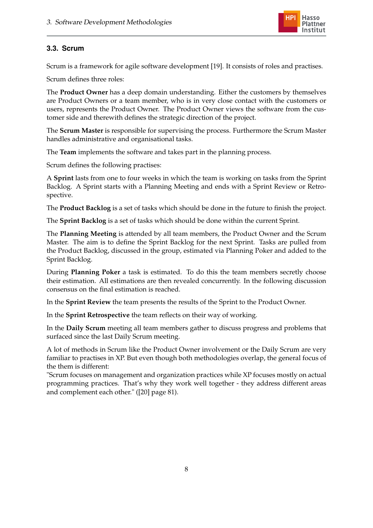

## <span id="page-11-0"></span>**3.3. Scrum**

Scrum is a framework for agile software development [\[19\]](#page-24-0). It consists of roles and practises.

Scrum defines three roles:

The **Product Owner** has a deep domain understanding. Either the customers by themselves are Product Owners or a team member, who is in very close contact with the customers or users, represents the Product Owner. The Product Owner views the software from the customer side and therewith defines the strategic direction of the project.

The **Scrum Master** is responsible for supervising the process. Furthermore the Scrum Master handles administrative and organisational tasks.

The **Team** implements the software and takes part in the planning process.

Scrum defines the following practises:

A **Sprint** lasts from one to four weeks in which the team is working on tasks from the Sprint Backlog. A Sprint starts with a Planning Meeting and ends with a Sprint Review or Retrospective.

The **Product Backlog** is a set of tasks which should be done in the future to finish the project.

The **Sprint Backlog** is a set of tasks which should be done within the current Sprint.

The **Planning Meeting** is attended by all team members, the Product Owner and the Scrum Master. The aim is to define the Sprint Backlog for the next Sprint. Tasks are pulled from the Product Backlog, discussed in the group, estimated via Planning Poker and added to the Sprint Backlog.

During **Planning Poker** a task is estimated. To do this the team members secretly choose their estimation. All estimations are then revealed concurrently. In the following discussion consensus on the final estimation is reached.

In the **Sprint Review** the team presents the results of the Sprint to the Product Owner.

In the **Sprint Retrospective** the team reflects on their way of working.

In the **Daily Scrum** meeting all team members gather to discuss progress and problems that surfaced since the last Daily Scrum meeting.

A lot of methods in Scrum like the Product Owner involvement or the Daily Scrum are very familiar to practises in XP. But even though both methodologies overlap, the general focus of the them is different:

"Scrum focuses on management and organization practices while XP focuses mostly on actual programming practices. That's why they work well together - they address different areas and complement each other." ([\[20\]](#page-24-1) page 81).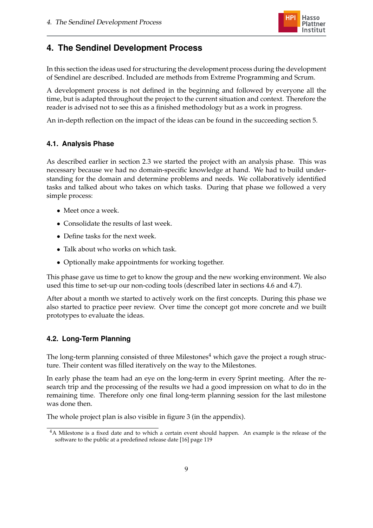

## <span id="page-12-0"></span>**4. The Sendinel Development Process**

In this section the ideas used for structuring the development process during the development of Sendinel are described. Included are methods from Extreme Programming and Scrum.

A development process is not defined in the beginning and followed by everyone all the time, but is adapted throughout the project to the current situation and context. Therefore the reader is advised not to see this as a finished methodology but as a work in progress.

An in-depth reflection on the impact of the ideas can be found in the succeeding section [5.](#page-16-0)

### <span id="page-12-1"></span>**4.1. Analysis Phase**

As described earlier in section [2.3](#page-6-0) we started the project with an analysis phase. This was necessary because we had no domain-specific knowledge at hand. We had to build understanding for the domain and determine problems and needs. We collaboratively identified tasks and talked about who takes on which tasks. During that phase we followed a very simple process:

- Meet once a week.
- Consolidate the results of last week.
- Define tasks for the next week.
- Talk about who works on which task.
- Optionally make appointments for working together.

This phase gave us time to get to know the group and the new working environment. We also used this time to set-up our non-coding tools (described later in sections [4.6](#page-14-2) and [4.7\)](#page-15-0).

After about a month we started to actively work on the first concepts. During this phase we also started to practice peer review. Over time the concept got more concrete and we built prototypes to evaluate the ideas.

### <span id="page-12-2"></span>**4.2. Long-Term Planning**

The long-term planning consisted of three Milestones<sup>4</sup> which gave the project a rough structure. Their content was filled iteratively on the way to the Milestones.

In early phase the team had an eye on the long-term in every Sprint meeting. After the research trip and the processing of the results we had a good impression on what to do in the remaining time. Therefore only one final long-term planning session for the last milestone was done then.

The whole project plan is also visible in figure [3](#page-25-1) (in the appendix).

<sup>&</sup>lt;sup>4</sup>A Milestone is a fixed date and to which a certain event should happen. An example is the release of the software to the public at a predefined release date [\[16\]](#page-23-15) page 119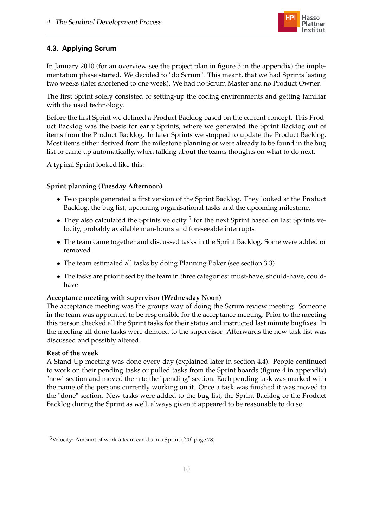

## <span id="page-13-0"></span>**4.3. Applying Scrum**

In January 2010 (for an overview see the project plan in figure [3](#page-25-1) in the appendix) the implementation phase started. We decided to "do Scrum". This meant, that we had Sprints lasting two weeks (later shortened to one week). We had no Scrum Master and no Product Owner.

The first Sprint solely consisted of setting-up the coding environments and getting familiar with the used technology.

Before the first Sprint we defined a Product Backlog based on the current concept. This Product Backlog was the basis for early Sprints, where we generated the Sprint Backlog out of items from the Product Backlog. In later Sprints we stopped to update the Product Backlog. Most items either derived from the milestone planning or were already to be found in the bug list or came up automatically, when talking about the teams thoughts on what to do next.

A typical Sprint looked like this:

### **Sprint planning (Tuesday Afternoon)**

- Two people generated a first version of the Sprint Backlog. They looked at the Product Backlog, the bug list, upcoming organisational tasks and the upcoming milestone.
- They also calculated the Sprints velocity  $5$  for the next Sprint based on last Sprints velocity, probably available man-hours and foreseeable interrupts
- The team came together and discussed tasks in the Sprint Backlog. Some were added or removed
- The team estimated all tasks by doing Planning Poker (see section [3.3\)](#page-11-0)
- The tasks are prioritised by the team in three categories: must-have, should-have, couldhave

### **Acceptance meeting with supervisor (Wednesday Noon)**

The acceptance meeting was the groups way of doing the Scrum review meeting. Someone in the team was appointed to be responsible for the acceptance meeting. Prior to the meeting this person checked all the Sprint tasks for their status and instructed last minute bugfixes. In the meeting all done tasks were demoed to the supervisor. Afterwards the new task list was discussed and possibly altered.

### **Rest of the week**

A Stand-Up meeting was done every day (explained later in section [4.4\)](#page-14-0). People continued to work on their pending tasks or pulled tasks from the Sprint boards (figure [4](#page-25-2) in appendix) "new" section and moved them to the "pending" section. Each pending task was marked with the name of the persons currently working on it. Once a task was finished it was moved to the "done" section. New tasks were added to the bug list, the Sprint Backlog or the Product Backlog during the Sprint as well, always given it appeared to be reasonable to do so.

<sup>5</sup>Velocity: Amount of work a team can do in a Sprint ([\[20\]](#page-24-1) page 78)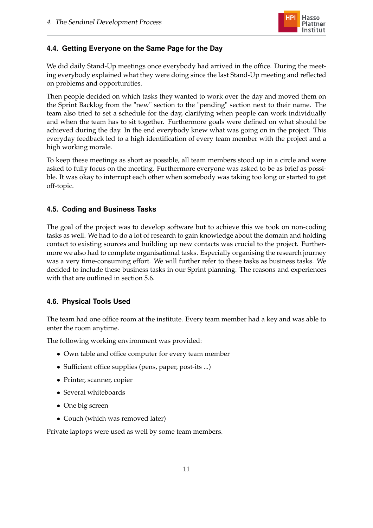

## <span id="page-14-0"></span>**4.4. Getting Everyone on the Same Page for the Day**

We did daily Stand-Up meetings once everybody had arrived in the office. During the meeting everybody explained what they were doing since the last Stand-Up meeting and reflected on problems and opportunities.

Then people decided on which tasks they wanted to work over the day and moved them on the Sprint Backlog from the "new" section to the "pending" section next to their name. The team also tried to set a schedule for the day, clarifying when people can work individually and when the team has to sit together. Furthermore goals were defined on what should be achieved during the day. In the end everybody knew what was going on in the project. This everyday feedback led to a high identification of every team member with the project and a high working morale.

To keep these meetings as short as possible, all team members stood up in a circle and were asked to fully focus on the meeting. Furthermore everyone was asked to be as brief as possible. It was okay to interrupt each other when somebody was taking too long or started to get off-topic.

## <span id="page-14-1"></span>**4.5. Coding and Business Tasks**

The goal of the project was to develop software but to achieve this we took on non-coding tasks as well. We had to do a lot of research to gain knowledge about the domain and holding contact to existing sources and building up new contacts was crucial to the project. Furthermore we also had to complete organisational tasks. Especially organising the research journey was a very time-consuming effort. We will further refer to these tasks as business tasks. We decided to include these business tasks in our Sprint planning. The reasons and experiences with that are outlined in section [5.6.](#page-18-1)

## <span id="page-14-2"></span>**4.6. Physical Tools Used**

The team had one office room at the institute. Every team member had a key and was able to enter the room anytime.

The following working environment was provided:

- Own table and office computer for every team member
- Sufficient office supplies (pens, paper, post-its ...)
- Printer, scanner, copier
- Several whiteboards
- One big screen
- Couch (which was removed later)

Private laptops were used as well by some team members.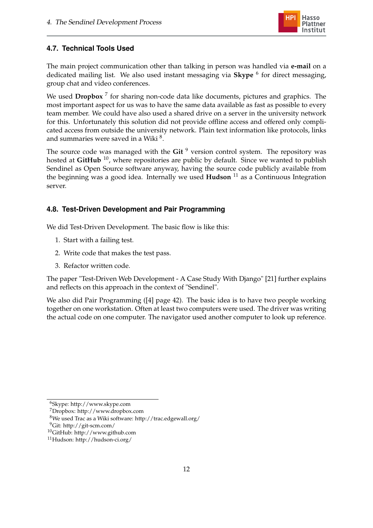

## <span id="page-15-0"></span>**4.7. Technical Tools Used**

The main project communication other than talking in person was handled via **e-mail** on a dedicated mailing list. We also used instant messaging via **Skype** <sup>6</sup> for direct messaging, group chat and video conferences.

We used Dropbox<sup>7</sup> for sharing non-code data like documents, pictures and graphics. The most important aspect for us was to have the same data available as fast as possible to every team member. We could have also used a shared drive on a server in the university network for this. Unfortunately this solution did not provide offline access and offered only complicated access from outside the university network. Plain text information like protocols, links and summaries were saved in a Wiki  $^8$ .

The source code was managed with the Git<sup>9</sup> version control system. The repository was hosted at **GitHub** <sup>10</sup>, where repositories are public by default. Since we wanted to publish Sendinel as Open Source software anyway, having the source code publicly available from the beginning was a good idea. Internally we used **Hudson** <sup>11</sup> as a Continuous Integration server.

## <span id="page-15-1"></span>**4.8. Test-Driven Development and Pair Programming**

We did Test-Driven Development. The basic flow is like this:

- 1. Start with a failing test.
- 2. Write code that makes the test pass.
- 3. Refactor written code.

The paper "Test-Driven Web Development - A Case Study With Django" [\[21\]](#page-24-2) further explains and reflects on this approach in the context of "Sendinel".

We also did Pair Programming ([\[4\]](#page-23-3) page 42). The basic idea is to have two people working together on one workstation. Often at least two computers were used. The driver was writing the actual code on one computer. The navigator used another computer to look up reference.

<sup>6</sup>Skype: http://www.skype.com

<sup>7</sup>Dropbox: http://www.dropbox.com

<sup>8</sup>We used Trac as a Wiki software: http://trac.edgewall.org/

<sup>9</sup>Git: http://git-scm.com/

<sup>10</sup>GitHub: http://www.github.com

<sup>11</sup>Hudson: http://hudson-ci.org/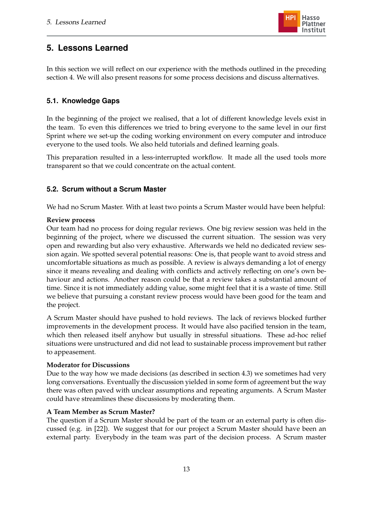## <span id="page-16-0"></span>**5. Lessons Learned**

In this section we will reflect on our experience with the methods outlined in the preceding section [4.](#page-12-0) We will also present reasons for some process decisions and discuss alternatives.

## <span id="page-16-1"></span>**5.1. Knowledge Gaps**

In the beginning of the project we realised, that a lot of different knowledge levels exist in the team. To even this differences we tried to bring everyone to the same level in our first Sprint where we set-up the coding working environment on every computer and introduce everyone to the used tools. We also held tutorials and defined learning goals.

This preparation resulted in a less-interrupted workflow. It made all the used tools more transparent so that we could concentrate on the actual content.

## <span id="page-16-2"></span>**5.2. Scrum without a Scrum Master**

We had no Scrum Master. With at least two points a Scrum Master would have been helpful:

### **Review process**

Our team had no process for doing regular reviews. One big review session was held in the beginning of the project, where we discussed the current situation. The session was very open and rewarding but also very exhaustive. Afterwards we held no dedicated review session again. We spotted several potential reasons: One is, that people want to avoid stress and uncomfortable situations as much as possible. A review is always demanding a lot of energy since it means revealing and dealing with conflicts and actively reflecting on one's own behaviour and actions. Another reason could be that a review takes a substantial amount of time. Since it is not immediately adding value, some might feel that it is a waste of time. Still we believe that pursuing a constant review process would have been good for the team and the project.

A Scrum Master should have pushed to hold reviews. The lack of reviews blocked further improvements in the development process. It would have also pacified tension in the team, which then released itself anyhow but usually in stressful situations. These ad-hoc relief situations were unstructured and did not lead to sustainable process improvement but rather to appeasement.

### **Moderator for Discussions**

Due to the way how we made decisions (as described in section [4.3\)](#page-13-0) we sometimes had very long conversations. Eventually the discussion yielded in some form of agreement but the way there was often paved with unclear assumptions and repeating arguments. A Scrum Master could have streamlines these discussions by moderating them.

### **A Team Member as Scrum Master?**

The question if a Scrum Master should be part of the team or an external party is often discussed (e.g. in [\[22\]](#page-24-3)). We suggest that for our project a Scrum Master should have been an external party. Everybody in the team was part of the decision process. A Scrum master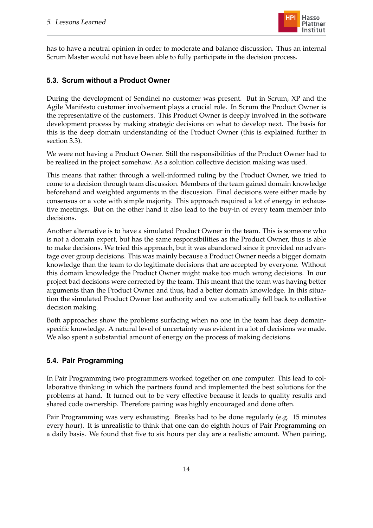

has to have a neutral opinion in order to moderate and balance discussion. Thus an internal Scrum Master would not have been able to fully participate in the decision process.

### <span id="page-17-0"></span>**5.3. Scrum without a Product Owner**

During the development of Sendinel no customer was present. But in Scrum, XP and the Agile Manifesto customer involvement plays a crucial role. In Scrum the Product Owner is the representative of the customers. This Product Owner is deeply involved in the software development process by making strategic decisions on what to develop next. The basis for this is the deep domain understanding of the Product Owner (this is explained further in section [3.3\)](#page-11-0).

We were not having a Product Owner. Still the responsibilities of the Product Owner had to be realised in the project somehow. As a solution collective decision making was used.

This means that rather through a well-informed ruling by the Product Owner, we tried to come to a decision through team discussion. Members of the team gained domain knowledge beforehand and weighted arguments in the discussion. Final decisions were either made by consensus or a vote with simple majority. This approach required a lot of energy in exhaustive meetings. But on the other hand it also lead to the buy-in of every team member into decisions.

Another alternative is to have a simulated Product Owner in the team. This is someone who is not a domain expert, but has the same responsibilities as the Product Owner, thus is able to make decisions. We tried this approach, but it was abandoned since it provided no advantage over group decisions. This was mainly because a Product Owner needs a bigger domain knowledge than the team to do legitimate decisions that are accepted by everyone. Without this domain knowledge the Product Owner might make too much wrong decisions. In our project bad decisions were corrected by the team. This meant that the team was having better arguments than the Product Owner and thus, had a better domain knowledge. In this situation the simulated Product Owner lost authority and we automatically fell back to collective decision making.

Both approaches show the problems surfacing when no one in the team has deep domainspecific knowledge. A natural level of uncertainty was evident in a lot of decisions we made. We also spent a substantial amount of energy on the process of making decisions.

### <span id="page-17-1"></span>**5.4. Pair Programming**

In Pair Programming two programmers worked together on one computer. This lead to collaborative thinking in which the partners found and implemented the best solutions for the problems at hand. It turned out to be very effective because it leads to quality results and shared code ownership. Therefore pairing was highly encouraged and done often.

Pair Programming was very exhausting. Breaks had to be done regularly (e.g. 15 minutes every hour). It is unrealistic to think that one can do eighth hours of Pair Programming on a daily basis. We found that five to six hours per day are a realistic amount. When pairing,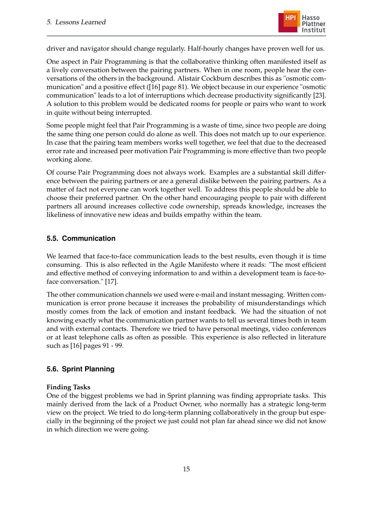

driver and navigator should change regularly. Half-hourly changes have proven well for us.

One aspect in Pair Programming is that the collaborative thinking often manifested itself as a lively conversation between the pairing partners. When in one room, people hear the conversations of the others in the background. Alistair Cockburn describes this as "osmotic communication" and a positive effect ([\[16\]](#page-23-15) page 81). We object because in our experience "osmotic communication" leads to a lot of interruptions which decrease productivity significantly [\[23\]](#page-24-4). A solution to this problem would be dedicated rooms for people or pairs who want to work in quite without being interrupted.

Some people might feel that Pair Programming is a waste of time, since two people are doing the same thing one person could do alone as well. This does not match up to our experience. In case that the pairing team members works well together, we feel that due to the decreased error rate and increased peer motivation Pair Programming is more effective than two people working alone.

Of course Pair Programming does not always work. Examples are a substantial skill difference between the pairing partners or are a general dislike between the pairing partners. As a matter of fact not everyone can work together well. To address this people should be able to choose their preferred partner. On the other hand encouraging people to pair with different partners all around increases collective code ownership, spreads knowledge, increases the likeliness of innovative new ideas and builds empathy within the team.

#### <span id="page-18-0"></span>**5.5. Communication**

We learned that face-to-face communication leads to the best results, even though it is time consuming. This is also reflected in the Agile Manifesto where it reads: "The most efficient and effective method of conveying information to and within a development team is face-toface conversation." [\[17\]](#page-23-16).

The other communication channels we used were e-mail and instant messaging. Written communication is error prone because it increases the probability of misunderstandings which mostly comes from the lack of emotion and instant feedback. We had the situation of not knowing exactly what the communication partner wants to tell us several times both in team and with external contacts. Therefore we tried to have personal meetings, video conferences or at least telephone calls as often as possible. This experience is also reflected in literature such as [\[16\]](#page-23-15) pages 91 - 99.

#### <span id="page-18-1"></span>**5.6. Sprint Planning**

#### **Finding Tasks**

One of the biggest problems we had in Sprint planning was finding appropriate tasks. This mainly derived from the lack of a Product Owner, who normally has a strategic long-term view on the project. We tried to do long-term planning collaboratively in the group but especially in the beginning of the project we just could not plan far ahead since we did not know in which direction we were going.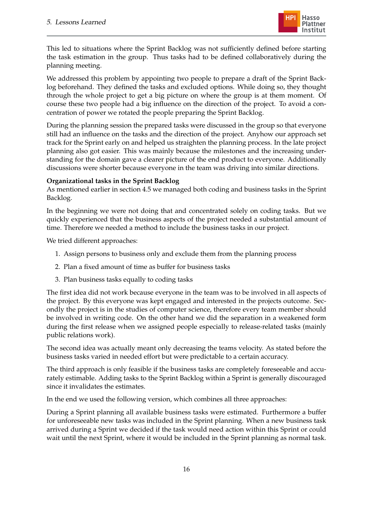

This led to situations where the Sprint Backlog was not sufficiently defined before starting the task estimation in the group. Thus tasks had to be defined collaboratively during the planning meeting.

We addressed this problem by appointing two people to prepare a draft of the Sprint Backlog beforehand. They defined the tasks and excluded options. While doing so, they thought through the whole project to get a big picture on where the group is at them moment. Of course these two people had a big influence on the direction of the project. To avoid a concentration of power we rotated the people preparing the Sprint Backlog.

During the planning session the prepared tasks were discussed in the group so that everyone still had an influence on the tasks and the direction of the project. Anyhow our approach set track for the Sprint early on and helped us straighten the planning process. In the late project planning also got easier. This was mainly because the milestones and the increasing understanding for the domain gave a clearer picture of the end product to everyone. Additionally discussions were shorter because everyone in the team was driving into similar directions.

### **Organizational tasks in the Sprint Backlog**

As mentioned earlier in section [4.5](#page-14-1) we managed both coding and business tasks in the Sprint Backlog.

In the beginning we were not doing that and concentrated solely on coding tasks. But we quickly experienced that the business aspects of the project needed a substantial amount of time. Therefore we needed a method to include the business tasks in our project.

We tried different approaches:

- 1. Assign persons to business only and exclude them from the planning process
- 2. Plan a fixed amount of time as buffer for business tasks
- 3. Plan business tasks equally to coding tasks

The first idea did not work because everyone in the team was to be involved in all aspects of the project. By this everyone was kept engaged and interested in the projects outcome. Secondly the project is in the studies of computer science, therefore every team member should be involved in writing code. On the other hand we did the separation in a weakened form during the first release when we assigned people especially to release-related tasks (mainly public relations work).

The second idea was actually meant only decreasing the teams velocity. As stated before the business tasks varied in needed effort but were predictable to a certain accuracy.

The third approach is only feasible if the business tasks are completely foreseeable and accurately estimable. Adding tasks to the Sprint Backlog within a Sprint is generally discouraged since it invalidates the estimates.

In the end we used the following version, which combines all three approaches:

During a Sprint planning all available business tasks were estimated. Furthermore a buffer for unforeseeable new tasks was included in the Sprint planning. When a new business task arrived during a Sprint we decided if the task would need action within this Sprint or could wait until the next Sprint, where it would be included in the Sprint planning as normal task.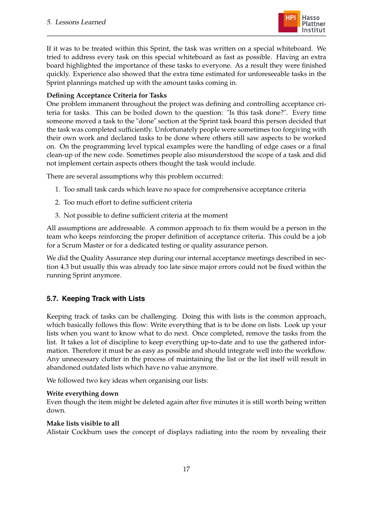

If it was to be treated within this Sprint, the task was written on a special whiteboard. We tried to address every task on this special whiteboard as fast as possible. Having an extra board highlighted the importance of these tasks to everyone. As a result they were finished quickly. Experience also showed that the extra time estimated for unforeseeable tasks in the Sprint plannings matched up with the amount tasks coming in.

### **Defining Acceptance Criteria for Tasks**

One problem immanent throughout the project was defining and controlling acceptance criteria for tasks. This can be boiled down to the question: "Is this task done?". Every time someone moved a task to the "done" section at the Sprint task board this person decided that the task was completed sufficiently. Unfortunately people were sometimes too forgiving with their own work and declared tasks to be done where others still saw aspects to be worked on. On the programming level typical examples were the handling of edge cases or a final clean-up of the new code. Sometimes people also misunderstood the scope of a task and did not implement certain aspects others thought the task would include.

There are several assumptions why this problem occurred:

- 1. Too small task cards which leave no space for comprehensive acceptance criteria
- 2. Too much effort to define sufficient criteria
- 3. Not possible to define sufficient criteria at the moment

All assumptions are addressable. A common approach to fix them would be a person in the team who keeps reinforcing the proper definition of acceptance criteria. This could be a job for a Scrum Master or for a dedicated testing or quality assurance person.

We did the Quality Assurance step during our internal acceptance meetings described in section [4.3](#page-13-0) but usually this was already too late since major errors could not be fixed within the running Sprint anymore.

## <span id="page-20-0"></span>**5.7. Keeping Track with Lists**

Keeping track of tasks can be challenging. Doing this with lists is the common approach, which basically follows this flow: Write everything that is to be done on lists. Look up your lists when you want to know what to do next. Once completed, remove the tasks from the list. It takes a lot of discipline to keep everything up-to-date and to use the gathered information. Therefore it must be as easy as possible and should integrate well into the workflow. Any unnecessary clutter in the process of maintaining the list or the list itself will result in abandoned outdated lists which have no value anymore.

We followed two key ideas when organising our lists:

### **Write everything down**

Even though the item might be deleted again after five minutes it is still worth being written down.

### **Make lists visible to all**

Alistair Cockburn uses the concept of displays radiating into the room by revealing their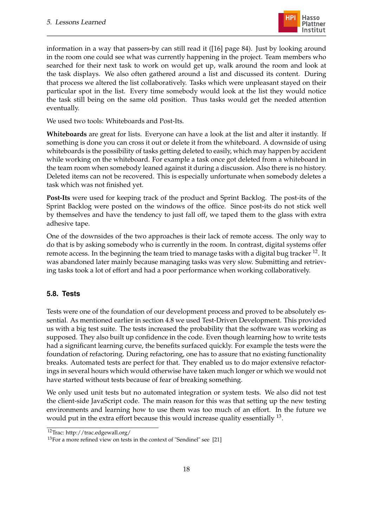

information in a way that passers-by can still read it ([\[16\]](#page-23-15) page 84). Just by looking around in the room one could see what was currently happening in the project. Team members who searched for their next task to work on would get up, walk around the room and look at the task displays. We also often gathered around a list and discussed its content. During that process we altered the list collaboratively. Tasks which were unpleasant stayed on their particular spot in the list. Every time somebody would look at the list they would notice the task still being on the same old position. Thus tasks would get the needed attention eventually.

We used two tools: Whiteboards and Post-Its.

**Whiteboards** are great for lists. Everyone can have a look at the list and alter it instantly. If something is done you can cross it out or delete it from the whiteboard. A downside of using whiteboards is the possibility of tasks getting deleted to easily, which may happen by accident while working on the whiteboard. For example a task once got deleted from a whiteboard in the team room when somebody leaned against it during a discussion. Also there is no history. Deleted items can not be recovered. This is especially unfortunate when somebody deletes a task which was not finished yet.

**Post-Its** were used for keeping track of the product and Sprint Backlog. The post-its of the Sprint Backlog were posted on the windows of the office. Since post-its do not stick well by themselves and have the tendency to just fall off, we taped them to the glass with extra adhesive tape.

One of the downsides of the two approaches is their lack of remote access. The only way to do that is by asking somebody who is currently in the room. In contrast, digital systems offer remote access. In the beginning the team tried to manage tasks with a digital bug tracker <sup>12</sup>. It was abandoned later mainly because managing tasks was very slow. Submitting and retrieving tasks took a lot of effort and had a poor performance when working collaboratively.

### <span id="page-21-0"></span>**5.8. Tests**

Tests were one of the foundation of our development process and proved to be absolutely essential. As mentioned earlier in section [4.8](#page-15-1) we used Test-Driven Development. This provided us with a big test suite. The tests increased the probability that the software was working as supposed. They also built up confidence in the code. Even though learning how to write tests had a significant learning curve, the benefits surfaced quickly. For example the tests were the foundation of refactoring. During refactoring, one has to assure that no existing functionality breaks. Automated tests are perfect for that. They enabled us to do major extensive refactorings in several hours which would otherwise have taken much longer or which we would not have started without tests because of fear of breaking something.

We only used unit tests but no automated integration or system tests. We also did not test the client-side JavaScript code. The main reason for this was that setting up the new testing environments and learning how to use them was too much of an effort. In the future we would put in the extra effort because this would increase quality essentially  $^{13}$ .

<sup>12</sup>Trac: http://trac.edgewall.org/

<sup>&</sup>lt;sup>13</sup>For a more refined view on tests in the context of "Sendinel" see [\[21\]](#page-24-2)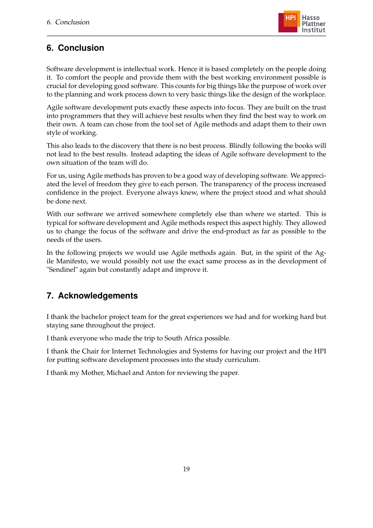

## <span id="page-22-0"></span>**6. Conclusion**

Software development is intellectual work. Hence it is based completely on the people doing it. To comfort the people and provide them with the best working environment possible is crucial for developing good software. This counts for big things like the purpose of work over to the planning and work process down to very basic things like the design of the workplace.

Agile software development puts exactly these aspects into focus. They are built on the trust into programmers that they will achieve best results when they find the best way to work on their own. A team can chose from the tool set of Agile methods and adapt them to their own style of working.

This also leads to the discovery that there is no best process. Blindly following the books will not lead to the best results. Instead adapting the ideas of Agile software development to the own situation of the team will do.

For us, using Agile methods has proven to be a good way of developing software. We appreciated the level of freedom they give to each person. The transparency of the process increased confidence in the project. Everyone always knew, where the project stood and what should be done next.

With our software we arrived somewhere completely else than where we started. This is typical for software development and Agile methods respect this aspect highly. They allowed us to change the focus of the software and drive the end-product as far as possible to the needs of the users.

In the following projects we would use Agile methods again. But, in the spirit of the Agile Manifesto, we would possibly not use the exact same process as in the development of "Sendinel" again but constantly adapt and improve it.

## <span id="page-22-1"></span>**7. Acknowledgements**

I thank the bachelor project team for the great experiences we had and for working hard but staying sane throughout the project.

I thank everyone who made the trip to South Africa possible.

I thank the Chair for Internet Technologies and Systems for having our project and the HPI for putting software development processes into the study curriculum.

I thank my Mother, Michael and Anton for reviewing the paper.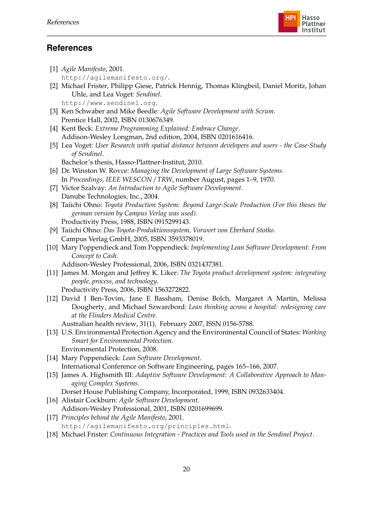

## **References**

- <span id="page-23-0"></span>[1] *Agile Manifesto*, 2001. <http://agilemanifesto.org/>.
- <span id="page-23-1"></span>[2] Michael Frister, Philipp Giese, Patrick Hennig, Thomas Klingbeil, Daniel Moritz, Johan Uhle, and Lea Voget: *Sendinel*. <http://www.sendinel.org>.
- <span id="page-23-2"></span>[3] Ken Schwaber and Mike Beedle: *Agile Software Development with Scrum*. Prentice Hall, 2002, ISBN 0130676349.
- <span id="page-23-3"></span>[4] Kent Beck: *Extreme Programming Explained: Embrace Change*. Addison-Wesley Longman, 2nd edition, 2004, ISBN 0201616416.
- <span id="page-23-4"></span>[5] Lea Voget: *User Research with spatial distance between developers and users - the Case-Study of Sendinel*.
	- Bachelor's thesis, Hasso-Plattner-Institut, 2010.
- <span id="page-23-5"></span>[6] Dr. Winston W. Rovce: *Managing the Development of Large Software Systems*. In *Proceedings, IEEE WESCON / TRW*, number August, pages 1–9, 1970.
- <span id="page-23-6"></span>[7] Victor Szalvay: *An Introduction to Agile Software Development*. Danube Technologies, Inc., 2004.
- <span id="page-23-7"></span>[8] Taiichi Ohno: *Toyota Production System: Beyond Large-Scale Production (For this theses the german version by Campus Verlag was used)*. Productivity Press, 1988, ISBN 0915299143.
- <span id="page-23-8"></span>[9] Taiichi Ohno: *Das Toyota-Produktionssystem, Vorwort von Eberhard Stotko*. Campus Verlag GmbH, 2005, ISBN 3593378019.
- <span id="page-23-9"></span>[10] Mary Poppendieck and Tom Poppendieck: *Implementing Lean Software Development: From Concept to Cash*.
	- Addison-Wesley Professional, 2006, ISBN 0321437381.
- <span id="page-23-10"></span>[11] James M. Morgan and Jeffrey K. Liker: *The Toyota product development system: integrating people, process, and technology*.
- <span id="page-23-11"></span>Productivity Press, 2006, ISBN 1563272822. [12] David I Ben-Tovim, Jane E Bassham, Denise Bolch, Margaret A Martin, Melissa
	- Dougherty, and Michael Szwarcbord: *Lean thinking across a hospital: redesigning care at the Flinders Medical Centre.*

Australian health review, 31(1), February 2007, ISSN 0156-5788.

- <span id="page-23-12"></span>[13] U.S. Environmental Protection Agency and the Environmental Council of States: *Working Smart for Environmental Protection*.
	- Environmental Protection, 2008.
- <span id="page-23-13"></span>[14] Mary Poppendieck: *Lean Software Development*. International Conference on Software Engineering, pages 165–166, 2007.
- <span id="page-23-14"></span>[15] James A. Highsmith III: *Adaptive Software Development: A Collaborative Approach to Managing Complex Systems*.

Dorset House Publishing Company, Incorporated, 1999, ISBN 0932633404.

- <span id="page-23-15"></span>[16] Alistair Cockburn: *Agile Software Development*.
- Addison-Wesley Professional, 2001, ISBN 0201699699.
- <span id="page-23-16"></span>[17] *Principles behind the Agile Manifesto*, 2001. <http://agilemanifesto.org/principles.html>.
- <span id="page-23-17"></span>[18] Michael Frister: *Continuous Integration - Practices and Tools used in the Sendinel Project*.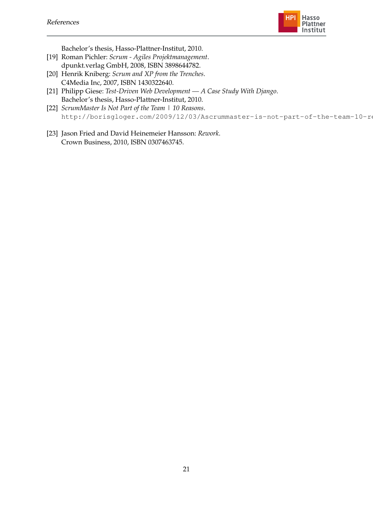

Bachelor's thesis, Hasso-Plattner-Institut, 2010.

- <span id="page-24-0"></span>[19] Roman Pichler: *Scrum - Agiles Projektmanagement*. dpunkt.verlag GmbH, 2008, ISBN 3898644782.
- <span id="page-24-1"></span>[20] Henrik Kniberg: *Scrum and XP from the Trenches*. C4Media Inc, 2007, ISBN 1430322640.
- <span id="page-24-2"></span>[21] Philipp Giese: *Test-Driven Web Development — A Case Study With Django*. Bachelor's thesis, Hasso-Plattner-Institut, 2010.
- <span id="page-24-3"></span>[22] *ScrumMaster Is Not Part of the Team | 10 Reasons*. http://borisgloger.com/2009/12/03/Ascrummaster-is-not-part-of-the-team-10-re
- <span id="page-24-4"></span>[23] Jason Fried and David Heinemeier Hansson: *Rework*. Crown Business, 2010, ISBN 0307463745.